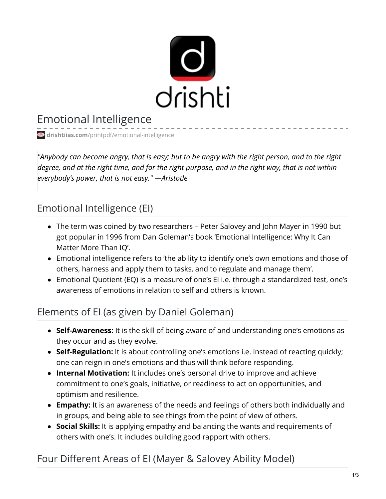

# Emotional Intelligence

**drishtiias.com**[/printpdf/emotional-intelligence](https://www.drishtiias.com/printpdf/emotional-intelligence)

"Anybody can become angry, that is easy; but to be angry with the right person, and to the right degree, and at the right time, and for the right purpose, and in the right way, that is not within *everybody's power, that is not easy." —Aristotle*

### Emotional Intelligence (EI)

- The term was coined by two researchers Peter Salovey and John Mayer in 1990 but got popular in 1996 from Dan Goleman's book 'Emotional Intelligence: Why It Can Matter More Than IQ'.
- Emotional intelligence refers to 'the ability to identify one's own emotions and those of others, harness and apply them to tasks, and to regulate and manage them'.
- Emotional Quotient (EQ) is a measure of one's EI i.e. through a standardized test, one's awareness of emotions in relation to self and others is known.

## Elements of EI (as given by Daniel Goleman)

- **Self-Awareness:** It is the skill of being aware of and understanding one's emotions as they occur and as they evolve.
- **Self-Regulation:** It is about controlling one's emotions i.e. instead of reacting quickly; one can reign in one's emotions and thus will think before responding.
- **Internal Motivation:** It includes one's personal drive to improve and achieve commitment to one's goals, initiative, or readiness to act on opportunities, and optimism and resilience.
- **Empathy:** It is an awareness of the needs and feelings of others both individually and in groups, and being able to see things from the point of view of others.
- **Social Skills:** It is applying empathy and balancing the wants and requirements of others with one's. It includes building good rapport with others.

### Four Different Areas of EI (Mayer & Salovey Ability Model)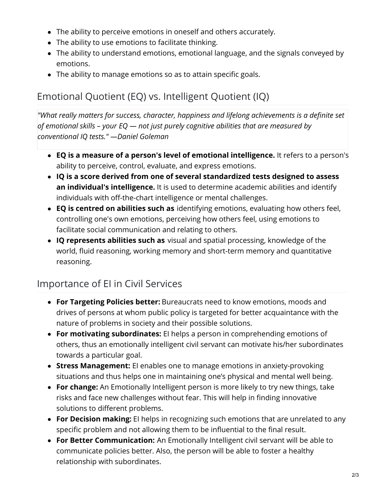- The ability to perceive emotions in oneself and others accurately.
- The ability to use emotions to facilitate thinking.
- The ability to understand emotions, emotional language, and the signals conveyed by emotions.
- The ability to manage emotions so as to attain specific goals.

# Emotional Quotient (EQ) vs. Intelligent Quotient (IQ)

*"What really matters for success, character, happiness and lifelong achievements is a definite set of emotional skills – your EQ — not just purely cognitive abilities that are measured by conventional IQ tests." —Daniel Goleman*

- **EQ is a measure of a person's level of emotional intelligence.** It refers to a person's ability to perceive, control, evaluate, and express emotions.
- **IQ is a score derived from one of several standardized tests designed to assess an individual's intelligence.** It is used to determine academic abilities and identify individuals with off-the-chart intelligence or mental challenges.
- **EQ is centred on abilities such as** identifying emotions, evaluating how others feel, controlling one's own emotions, perceiving how others feel, using emotions to facilitate social communication and relating to others.
- **IQ represents abilities such as** visual and spatial processing, knowledge of the world, fluid reasoning, working memory and short-term memory and quantitative reasoning.

## Importance of EI in Civil Services

- **For Targeting Policies better:** Bureaucrats need to know emotions, moods and drives of persons at whom public policy is targeted for better acquaintance with the nature of problems in society and their possible solutions.
- **For motivating subordinates:** EI helps a person in comprehending emotions of others, thus an emotionally intelligent civil servant can motivate his/her subordinates towards a particular goal.
- **Stress Management:** EI enables one to manage emotions in anxiety-provoking situations and thus helps one in maintaining one's physical and mental well being.
- **For change:** An Emotionally Intelligent person is more likely to try new things, take risks and face new challenges without fear. This will help in finding innovative solutions to different problems.
- **For Decision making:** EI helps in recognizing such emotions that are unrelated to any specific problem and not allowing them to be influential to the final result.
- **For Better Communication:** An Emotionally Intelligent civil servant will be able to communicate policies better. Also, the person will be able to foster a healthy relationship with subordinates.